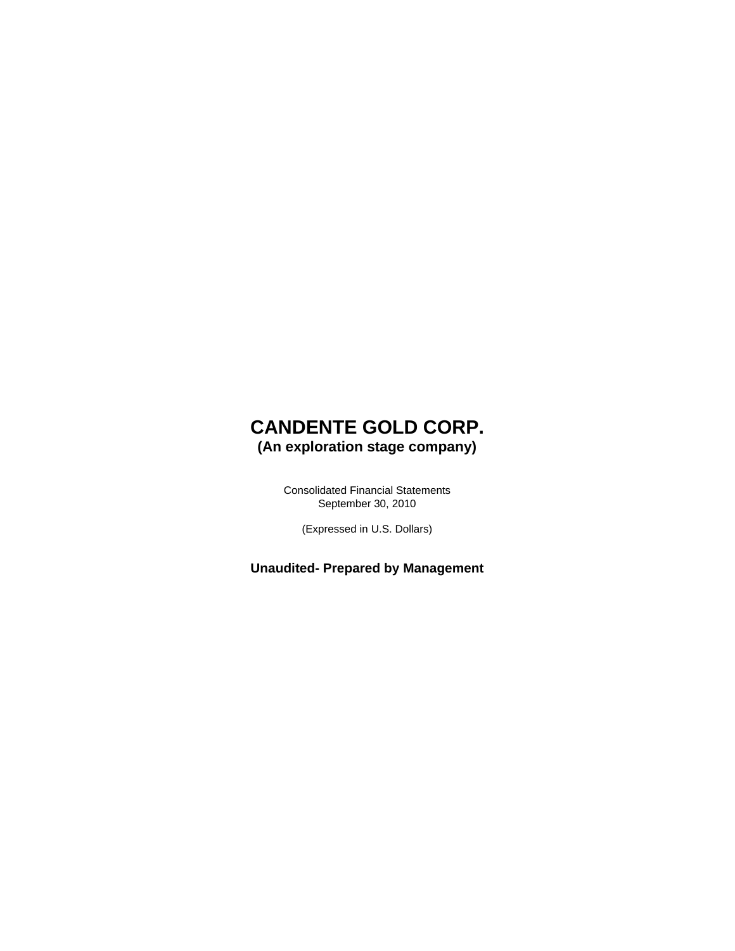### **CANDENTE GOLD CORP. (An exploration stage company)**

Consolidated Financial Statements September 30, 2010

(Expressed in U.S. Dollars)

**Unaudited- Prepared by Management**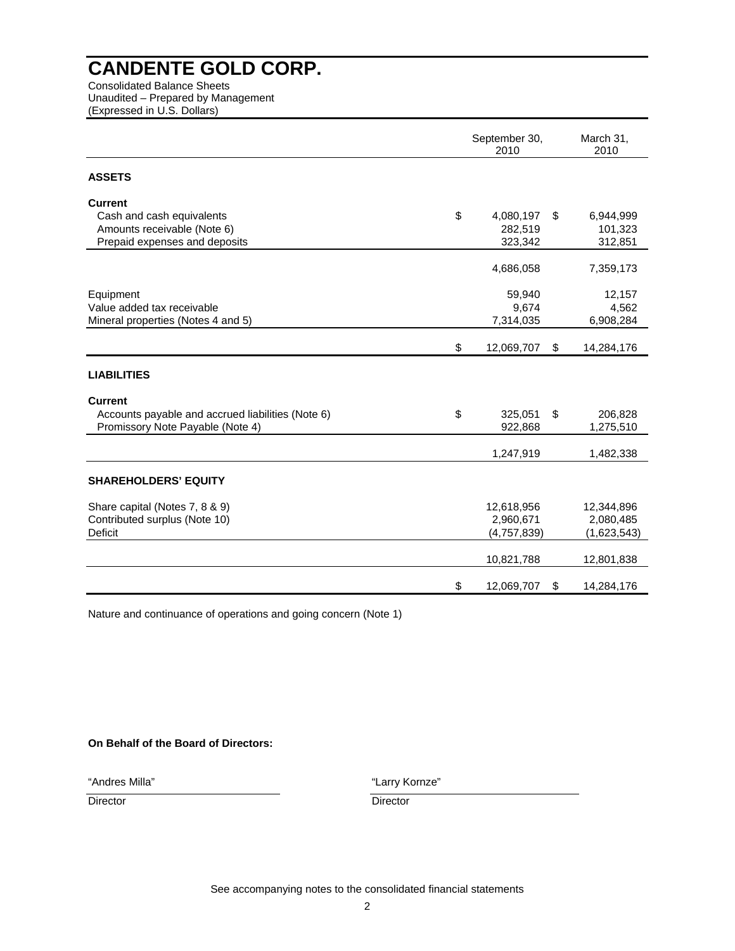Consolidated Balance Sheets Unaudited – Prepared by Management (Expressed in U.S. Dollars)

|                                                   | September 30,<br>2010 | March 31,<br>2010 |             |
|---------------------------------------------------|-----------------------|-------------------|-------------|
| <b>ASSETS</b>                                     |                       |                   |             |
| <b>Current</b>                                    |                       |                   |             |
| Cash and cash equivalents                         | \$<br>4,080,197       | \$                | 6,944,999   |
| Amounts receivable (Note 6)                       | 282,519               |                   | 101,323     |
| Prepaid expenses and deposits                     | 323,342               |                   | 312,851     |
|                                                   | 4,686,058             |                   | 7,359,173   |
| Equipment                                         | 59,940                |                   | 12,157      |
| Value added tax receivable                        | 9,674                 |                   | 4,562       |
| Mineral properties (Notes 4 and 5)                | 7,314,035             |                   | 6,908,284   |
|                                                   | \$<br>12,069,707      | \$                | 14,284,176  |
| <b>LIABILITIES</b>                                |                       |                   |             |
| <b>Current</b>                                    |                       |                   |             |
| Accounts payable and accrued liabilities (Note 6) | \$<br>325,051         | \$                | 206,828     |
| Promissory Note Payable (Note 4)                  | 922,868               |                   | 1,275,510   |
|                                                   | 1,247,919             |                   | 1,482,338   |
| <b>SHAREHOLDERS' EQUITY</b>                       |                       |                   |             |
| Share capital (Notes 7, 8 & 9)                    | 12,618,956            |                   | 12,344,896  |
| Contributed surplus (Note 10)                     | 2,960,671             |                   | 2,080,485   |
| <b>Deficit</b>                                    | (4,757,839)           |                   | (1,623,543) |
|                                                   | 10,821,788            |                   | 12,801,838  |
|                                                   | \$<br>12,069,707      | \$                | 14,284,176  |

Nature and continuance of operations and going concern (Note 1)

#### **On Behalf of the Board of Directors:**

"Andres Milla"

"Larry Kornze"

Director Director Director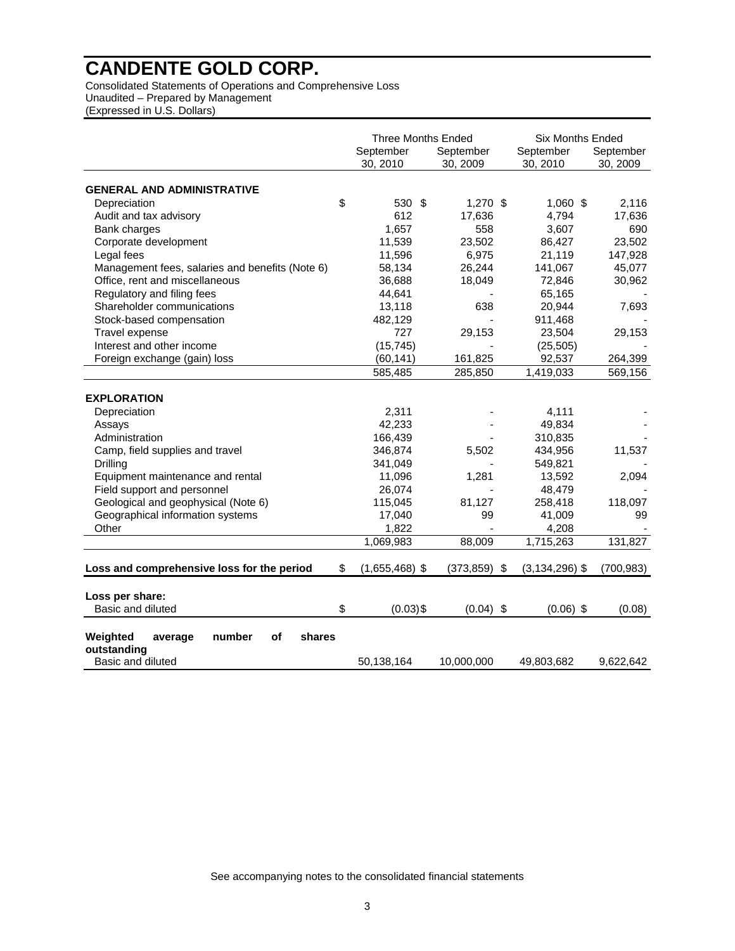Consolidated Statements of Operations and Comprehensive Loss Unaudited – Prepared by Management (Expressed in U.S. Dollars)

|                                                 | <b>Three Months Ended</b> |                       | <b>Six Months Ended</b> |                       |
|-------------------------------------------------|---------------------------|-----------------------|-------------------------|-----------------------|
|                                                 | September<br>30, 2010     | September<br>30, 2009 | September<br>30, 2010   | September<br>30, 2009 |
| <b>GENERAL AND ADMINISTRATIVE</b>               |                           |                       |                         |                       |
| Depreciation                                    | \$<br>530 \$              | $1,270$ \$            | $1,060$ \$              | 2,116                 |
| Audit and tax advisory                          | 612                       | 17,636                | 4,794                   | 17,636                |
| Bank charges                                    | 1,657                     | 558                   | 3,607                   | 690                   |
| Corporate development                           | 11,539                    | 23,502                | 86,427                  | 23,502                |
| Legal fees                                      | 11,596                    | 6,975                 | 21,119                  | 147,928               |
| Management fees, salaries and benefits (Note 6) | 58,134                    | 26,244                | 141,067                 | 45,077                |
| Office, rent and miscellaneous                  | 36,688                    | 18,049                | 72,846                  | 30,962                |
| Regulatory and filing fees                      | 44,641                    |                       | 65,165                  |                       |
| Shareholder communications                      | 13,118                    | 638                   | 20,944                  | 7,693                 |
| Stock-based compensation                        | 482,129                   |                       | 911,468                 |                       |
| Travel expense                                  | 727                       | 29,153                | 23,504                  | 29,153                |
| Interest and other income                       | (15, 745)                 |                       | (25, 505)               |                       |
| Foreign exchange (gain) loss                    | (60, 141)                 | 161,825               | 92,537                  | 264,399               |
|                                                 | 585,485                   | 285,850               | 1,419,033               | 569,156               |
|                                                 |                           |                       |                         |                       |
| <b>EXPLORATION</b>                              |                           |                       |                         |                       |
| Depreciation                                    | 2,311                     |                       | 4,111                   |                       |
| Assays                                          | 42,233                    |                       | 49,834                  |                       |
| Administration                                  | 166,439                   |                       | 310,835                 |                       |
| Camp, field supplies and travel                 | 346,874                   | 5,502                 | 434,956                 | 11,537                |
| Drilling                                        | 341,049                   |                       | 549,821                 |                       |
| Equipment maintenance and rental                | 11,096                    | 1,281                 | 13,592                  | 2,094                 |
| Field support and personnel                     | 26,074                    |                       | 48,479                  |                       |
| Geological and geophysical (Note 6)             | 115,045                   | 81,127                | 258,418                 | 118,097               |
| Geographical information systems                | 17,040                    | 99                    | 41,009                  | 99                    |
| Other                                           | 1,822                     |                       | 4,208                   |                       |
|                                                 | 1,069,983                 | 88,009                | 1,715,263               | 131,827               |
| Loss and comprehensive loss for the period      | \$<br>$(1,655,468)$ \$    | $(373, 859)$ \$       | $(3, 134, 296)$ \$      | (700, 983)            |
|                                                 |                           |                       |                         |                       |
| Loss per share:<br>Basic and diluted            | \$<br>$(0.03)$ \$         | $(0.04)$ \$           | $(0.06)$ \$             | (0.08)                |
|                                                 |                           |                       |                         |                       |
| Weighted<br>number<br>of<br>shares<br>average   |                           |                       |                         |                       |
| outstanding                                     |                           |                       |                         |                       |
| Basic and diluted                               | 50,138,164                | 10,000,000            | 49,803,682              | 9,622,642             |

See accompanying notes to the consolidated financial statements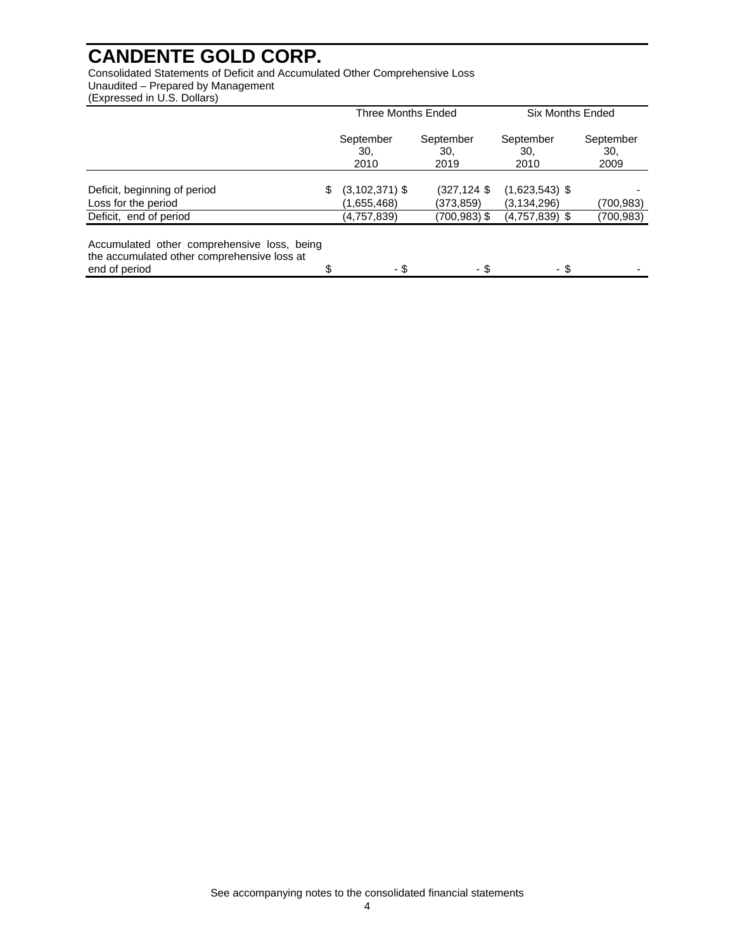Consolidated Statements of Deficit and Accumulated Other Comprehensive Loss Unaudited – Prepared by Management

(Expressed in U.S. Dollars)

|                                                                                                             | Three Months Ended                      |                                   | <b>Six Months Ended</b>           |                          |  |
|-------------------------------------------------------------------------------------------------------------|-----------------------------------------|-----------------------------------|-----------------------------------|--------------------------|--|
|                                                                                                             | September<br>30.<br>2010                | September<br>30.<br>2019          | September<br>30.<br>2010          | September<br>30.<br>2009 |  |
| Deficit, beginning of period<br>Loss for the period                                                         | \$<br>$(3, 102, 371)$ \$<br>(1,655,468) | $(327, 124 \text{ }$<br>(373,859) | $(1,623,543)$ \$<br>(3, 134, 296) | (700,983)                |  |
| Deficit, end of period                                                                                      | (4,757,839)                             | (700,983) \$                      | $(4,757,839)$ \$                  | (700,983)                |  |
| Accumulated other comprehensive loss, being<br>the accumulated other comprehensive loss at<br>end of period | \$<br>- \$                              | - \$                              | - \$                              |                          |  |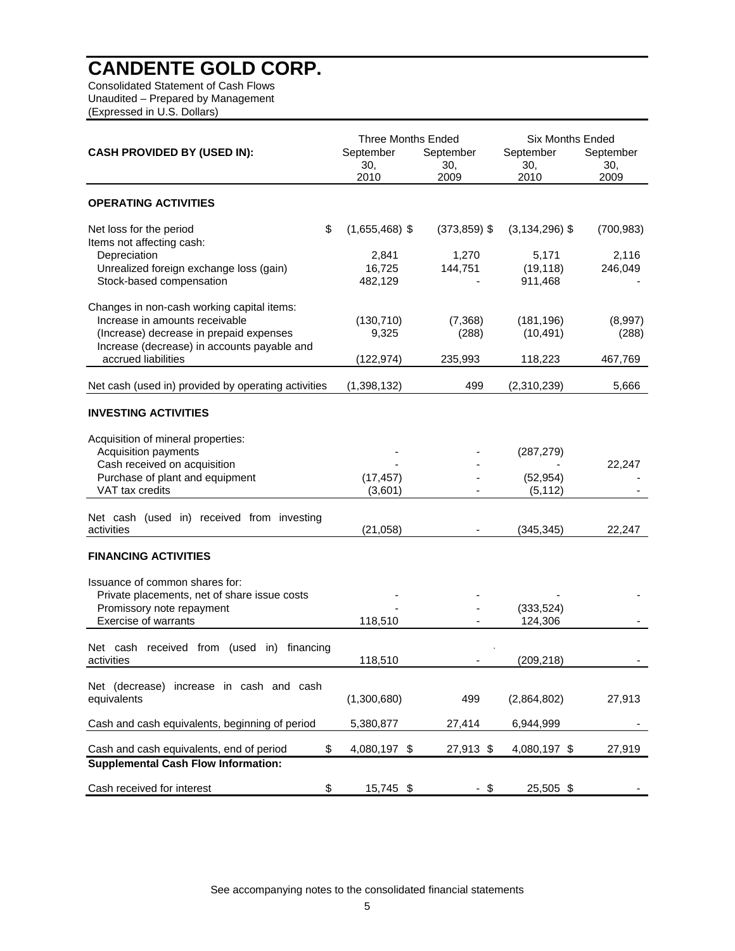Consolidated Statement of Cash Flows Unaudited – Prepared by Management (Expressed in U.S. Dollars)

|                                                                                                                  | <b>Three Months Ended</b>  |                          | <b>Six Months Ended</b>       |                          |  |
|------------------------------------------------------------------------------------------------------------------|----------------------------|--------------------------|-------------------------------|--------------------------|--|
| <b>CASH PROVIDED BY (USED IN):</b>                                                                               | September<br>30,<br>2010   | September<br>30,<br>2009 | September<br>30,<br>2010      | September<br>30,<br>2009 |  |
|                                                                                                                  |                            |                          |                               |                          |  |
| <b>OPERATING ACTIVITIES</b>                                                                                      |                            |                          |                               |                          |  |
| \$<br>Net loss for the period                                                                                    | $(1,655,468)$ \$           | $(373, 859)$ \$          | $(3, 134, 296)$ \$            | (700, 983)               |  |
| Items not affecting cash:<br>Depreciation<br>Unrealized foreign exchange loss (gain)<br>Stock-based compensation | 2,841<br>16,725<br>482,129 | 1,270<br>144,751         | 5,171<br>(19, 118)<br>911,468 | 2,116<br>246,049         |  |
| Changes in non-cash working capital items:                                                                       |                            |                          |                               |                          |  |
| Increase in amounts receivable<br>(Increase) decrease in prepaid expenses                                        | (130, 710)<br>9,325        | (7,368)<br>(288)         | (181, 196)<br>(10, 491)       | (8,997)<br>(288)         |  |
| Increase (decrease) in accounts payable and<br>accrued liabilities                                               | (122, 974)                 | 235,993                  | 118,223                       | 467,769                  |  |
| Net cash (used in) provided by operating activities                                                              | (1,398,132)                | 499                      | (2,310,239)                   | 5,666                    |  |
| <b>INVESTING ACTIVITIES</b>                                                                                      |                            |                          |                               |                          |  |
| Acquisition of mineral properties:                                                                               |                            |                          |                               |                          |  |
| Acquisition payments                                                                                             |                            |                          | (287, 279)                    |                          |  |
| Cash received on acquisition<br>Purchase of plant and equipment                                                  | (17, 457)                  |                          | (52, 954)                     | 22,247                   |  |
| VAT tax credits                                                                                                  | (3,601)                    |                          | (5, 112)                      |                          |  |
|                                                                                                                  |                            |                          |                               |                          |  |
| Net cash (used in) received from investing<br>activities                                                         | (21,058)                   |                          | (345, 345)                    | 22,247                   |  |
|                                                                                                                  |                            |                          |                               |                          |  |
| <b>FINANCING ACTIVITIES</b>                                                                                      |                            |                          |                               |                          |  |
| Issuance of common shares for:                                                                                   |                            |                          |                               |                          |  |
| Private placements, net of share issue costs                                                                     |                            |                          |                               |                          |  |
| Promissory note repayment<br><b>Exercise of warrants</b>                                                         | 118,510                    |                          | (333, 524)<br>124,306         |                          |  |
|                                                                                                                  |                            |                          |                               |                          |  |
| Net cash received from (used in) financing<br>activities                                                         | 118,510                    |                          | (209, 218)                    |                          |  |
| Net (decrease)<br>increase in cash and cash                                                                      |                            |                          |                               |                          |  |
| equivalents                                                                                                      | (1,300,680)                | 499                      | (2,864,802)                   | 27,913                   |  |
| Cash and cash equivalents, beginning of period                                                                   | 5,380,877                  | 27,414                   | 6,944,999                     |                          |  |
| \$<br>Cash and cash equivalents, end of period                                                                   | 4,080,197 \$               | 27,913 \$                | 4,080,197 \$                  | 27,919                   |  |
| <b>Supplemental Cash Flow Information:</b>                                                                       |                            |                          |                               |                          |  |
| Cash received for interest<br>\$                                                                                 | 15,745 \$                  | - \$                     | 25,505 \$                     |                          |  |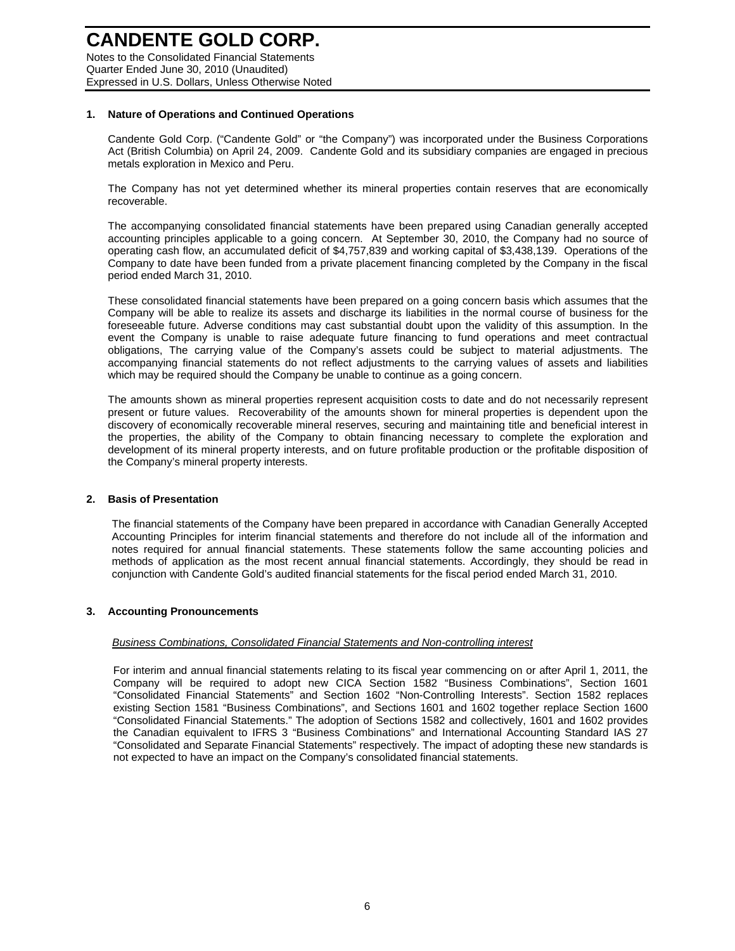Notes to the Consolidated Financial Statements Quarter Ended June 30, 2010 (Unaudited) Expressed in U.S. Dollars, Unless Otherwise Noted

#### **1. Nature of Operations and Continued Operations**

Candente Gold Corp. ("Candente Gold" or "the Company") was incorporated under the Business Corporations Act (British Columbia) on April 24, 2009. Candente Gold and its subsidiary companies are engaged in precious metals exploration in Mexico and Peru.

The Company has not yet determined whether its mineral properties contain reserves that are economically recoverable.

The accompanying consolidated financial statements have been prepared using Canadian generally accepted accounting principles applicable to a going concern. At September 30, 2010, the Company had no source of operating cash flow, an accumulated deficit of \$4,757,839 and working capital of \$3,438,139. Operations of the Company to date have been funded from a private placement financing completed by the Company in the fiscal period ended March 31, 2010.

These consolidated financial statements have been prepared on a going concern basis which assumes that the Company will be able to realize its assets and discharge its liabilities in the normal course of business for the foreseeable future. Adverse conditions may cast substantial doubt upon the validity of this assumption. In the event the Company is unable to raise adequate future financing to fund operations and meet contractual obligations, The carrying value of the Company's assets could be subject to material adjustments. The accompanying financial statements do not reflect adjustments to the carrying values of assets and liabilities which may be required should the Company be unable to continue as a going concern.

The amounts shown as mineral properties represent acquisition costs to date and do not necessarily represent present or future values. Recoverability of the amounts shown for mineral properties is dependent upon the discovery of economically recoverable mineral reserves, securing and maintaining title and beneficial interest in the properties, the ability of the Company to obtain financing necessary to complete the exploration and development of its mineral property interests, and on future profitable production or the profitable disposition of the Company's mineral property interests.

#### **2. Basis of Presentation**

The financial statements of the Company have been prepared in accordance with Canadian Generally Accepted Accounting Principles for interim financial statements and therefore do not include all of the information and notes required for annual financial statements. These statements follow the same accounting policies and methods of application as the most recent annual financial statements. Accordingly, they should be read in conjunction with Candente Gold's audited financial statements for the fiscal period ended March 31, 2010.

#### **3. Accounting Pronouncements**

#### *Business Combinations, Consolidated Financial Statements and Non-controlling interest*

For interim and annual financial statements relating to its fiscal year commencing on or after April 1, 2011, the Company will be required to adopt new CICA Section 1582 "Business Combinations", Section 1601 "Consolidated Financial Statements" and Section 1602 "Non-Controlling Interests". Section 1582 replaces existing Section 1581 "Business Combinations", and Sections 1601 and 1602 together replace Section 1600 "Consolidated Financial Statements." The adoption of Sections 1582 and collectively, 1601 and 1602 provides the Canadian equivalent to IFRS 3 "Business Combinations" and International Accounting Standard IAS 27 "Consolidated and Separate Financial Statements" respectively. The impact of adopting these new standards is not expected to have an impact on the Company's consolidated financial statements.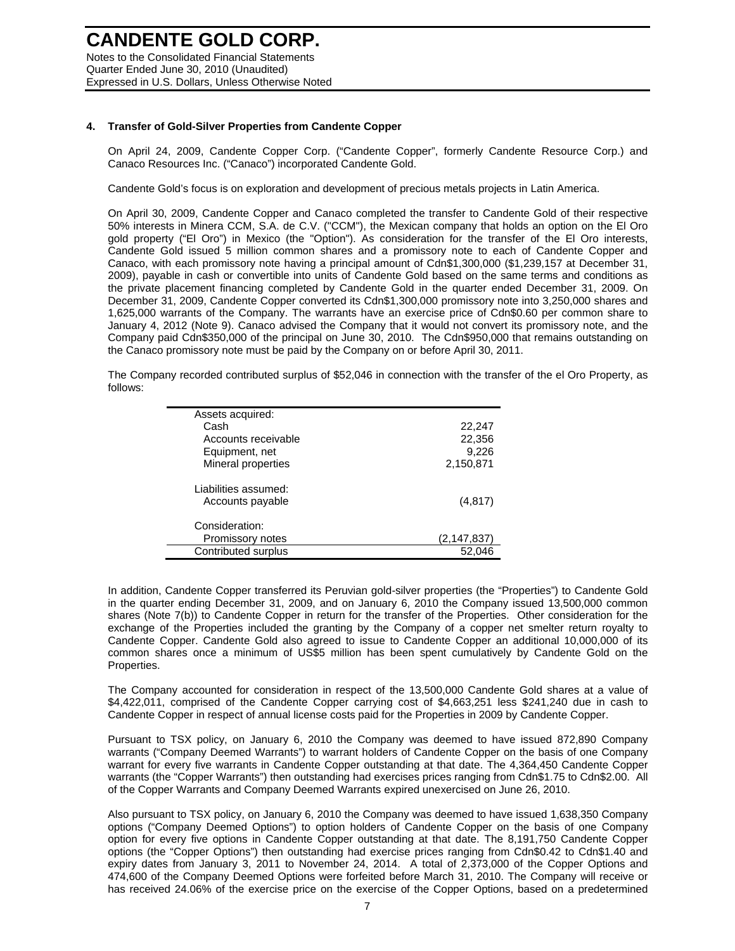### **CANDENTE GOLD CORP.**  Notes to the Consolidated Financial Statements

Quarter Ended June 30, 2010 (Unaudited) Expressed in U.S. Dollars, Unless Otherwise Noted

#### **4. Transfer of Gold-Silver Properties from Candente Copper**

On April 24, 2009, Candente Copper Corp. ("Candente Copper", formerly Candente Resource Corp.) and Canaco Resources Inc. ("Canaco") incorporated Candente Gold.

Candente Gold's focus is on exploration and development of precious metals projects in Latin America.

On April 30, 2009, Candente Copper and Canaco completed the transfer to Candente Gold of their respective 50% interests in Minera CCM, S.A. de C.V. ("CCM"), the Mexican company that holds an option on the El Oro gold property ("El Oro") in Mexico (the "Option"). As consideration for the transfer of the El Oro interests, Candente Gold issued 5 million common shares and a promissory note to each of Candente Copper and Canaco, with each promissory note having a principal amount of Cdn\$1,300,000 (\$1,239,157 at December 31, 2009), payable in cash or convertible into units of Candente Gold based on the same terms and conditions as the private placement financing completed by Candente Gold in the quarter ended December 31, 2009. On December 31, 2009, Candente Copper converted its Cdn\$1,300,000 promissory note into 3,250,000 shares and 1,625,000 warrants of the Company. The warrants have an exercise price of Cdn\$0.60 per common share to January 4, 2012 (Note 9). Canaco advised the Company that it would not convert its promissory note, and the Company paid Cdn\$350,000 of the principal on June 30, 2010. The Cdn\$950,000 that remains outstanding on the Canaco promissory note must be paid by the Company on or before April 30, 2011.

The Company recorded contributed surplus of \$52,046 in connection with the transfer of the el Oro Property, as follows:

| Assets acquired:     |             |
|----------------------|-------------|
| Cash                 | 22,247      |
| Accounts receivable  | 22,356      |
| Equipment, net       | 9,226       |
| Mineral properties   | 2,150,871   |
| Liabilities assumed: |             |
| Accounts payable     | (4, 817)    |
| Consideration:       |             |
| Promissory notes     | (2,147,837) |
| Contributed surplus  | 52.046      |

In addition, Candente Copper transferred its Peruvian gold-silver properties (the "Properties") to Candente Gold in the quarter ending December 31, 2009, and on January 6, 2010 the Company issued 13,500,000 common shares (Note 7(b)) to Candente Copper in return for the transfer of the Properties. Other consideration for the exchange of the Properties included the granting by the Company of a copper net smelter return royalty to Candente Copper. Candente Gold also agreed to issue to Candente Copper an additional 10,000,000 of its common shares once a minimum of US\$5 million has been spent cumulatively by Candente Gold on the Properties.

The Company accounted for consideration in respect of the 13,500,000 Candente Gold shares at a value of \$4,422,011, comprised of the Candente Copper carrying cost of \$4,663,251 less \$241,240 due in cash to Candente Copper in respect of annual license costs paid for the Properties in 2009 by Candente Copper.

Pursuant to TSX policy, on January 6, 2010 the Company was deemed to have issued 872,890 Company warrants ("Company Deemed Warrants") to warrant holders of Candente Copper on the basis of one Company warrant for every five warrants in Candente Copper outstanding at that date. The 4,364,450 Candente Copper warrants (the "Copper Warrants") then outstanding had exercises prices ranging from Cdn\$1.75 to Cdn\$2.00. All of the Copper Warrants and Company Deemed Warrants expired unexercised on June 26, 2010.

Also pursuant to TSX policy, on January 6, 2010 the Company was deemed to have issued 1,638,350 Company options ("Company Deemed Options") to option holders of Candente Copper on the basis of one Company option for every five options in Candente Copper outstanding at that date. The 8,191,750 Candente Copper options (the "Copper Options") then outstanding had exercise prices ranging from Cdn\$0.42 to Cdn\$1.40 and expiry dates from January 3, 2011 to November 24, 2014. A total of 2,373,000 of the Copper Options and 474,600 of the Company Deemed Options were forfeited before March 31, 2010. The Company will receive or has received 24.06% of the exercise price on the exercise of the Copper Options, based on a predetermined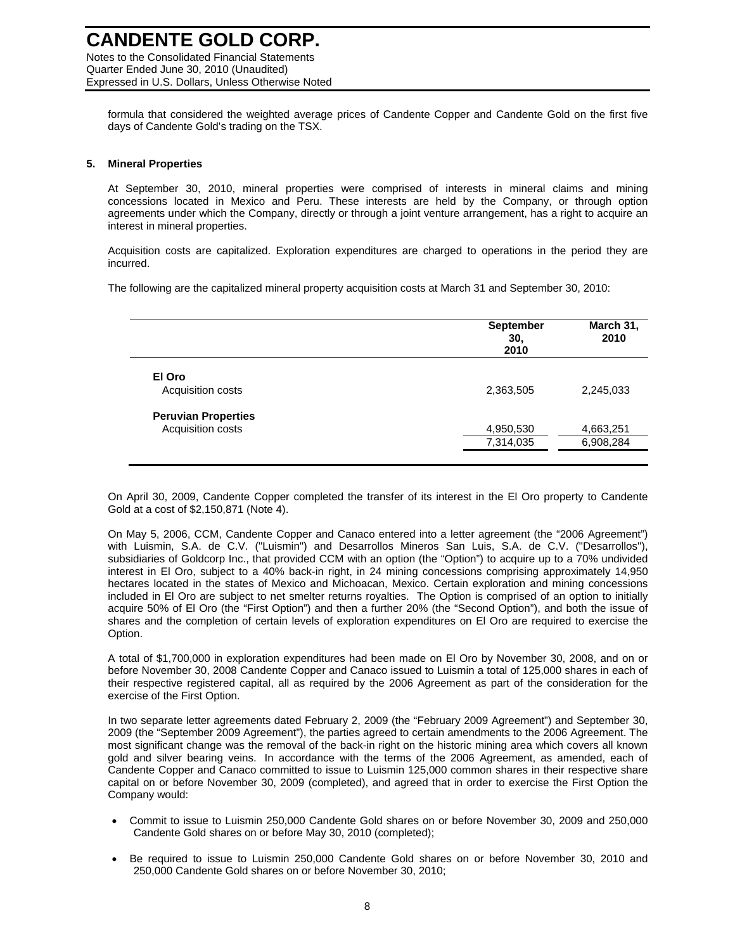Expressed in U.S. Dollars, Unless Otherwise Noted

formula that considered the weighted average prices of Candente Copper and Candente Gold on the first five days of Candente Gold's trading on the TSX.

#### **5. Mineral Properties**

At September 30, 2010, mineral properties were comprised of interests in mineral claims and mining concessions located in Mexico and Peru. These interests are held by the Company, or through option agreements under which the Company, directly or through a joint venture arrangement, has a right to acquire an interest in mineral properties.

Acquisition costs are capitalized. Exploration expenditures are charged to operations in the period they are incurred.

The following are the capitalized mineral property acquisition costs at March 31 and September 30, 2010:

|                            | <b>September</b><br>30,<br>2010 | March 31,<br>2010 |
|----------------------------|---------------------------------|-------------------|
| El Oro                     |                                 |                   |
| Acquisition costs          | 2,363,505                       | 2,245,033         |
| <b>Peruvian Properties</b> |                                 |                   |
| Acquisition costs          | 4,950,530                       | 4,663,251         |
|                            | 7,314,035                       | 6,908,284         |

On April 30, 2009, Candente Copper completed the transfer of its interest in the El Oro property to Candente Gold at a cost of \$2,150,871 (Note 4).

On May 5, 2006, CCM, Candente Copper and Canaco entered into a letter agreement (the "2006 Agreement") with Luismin, S.A. de C.V. ("Luismin") and Desarrollos Mineros San Luis, S.A. de C.V. ("Desarrollos"), subsidiaries of Goldcorp Inc., that provided CCM with an option (the "Option") to acquire up to a 70% undivided interest in El Oro, subject to a 40% back-in right, in 24 mining concessions comprising approximately 14,950 hectares located in the states of Mexico and Michoacan, Mexico. Certain exploration and mining concessions included in El Oro are subject to net smelter returns royalties. The Option is comprised of an option to initially acquire 50% of El Oro (the "First Option") and then a further 20% (the "Second Option"), and both the issue of shares and the completion of certain levels of exploration expenditures on El Oro are required to exercise the Option.

A total of \$1,700,000 in exploration expenditures had been made on El Oro by November 30, 2008, and on or before November 30, 2008 Candente Copper and Canaco issued to Luismin a total of 125,000 shares in each of their respective registered capital, all as required by the 2006 Agreement as part of the consideration for the exercise of the First Option.

In two separate letter agreements dated February 2, 2009 (the "February 2009 Agreement") and September 30, 2009 (the "September 2009 Agreement"), the parties agreed to certain amendments to the 2006 Agreement. The most significant change was the removal of the back-in right on the historic mining area which covers all known gold and silver bearing veins. In accordance with the terms of the 2006 Agreement, as amended, each of Candente Copper and Canaco committed to issue to Luismin 125,000 common shares in their respective share capital on or before November 30, 2009 (completed), and agreed that in order to exercise the First Option the Company would:

- Commit to issue to Luismin 250,000 Candente Gold shares on or before November 30, 2009 and 250,000 Candente Gold shares on or before May 30, 2010 (completed);
- Be required to issue to Luismin 250,000 Candente Gold shares on or before November 30, 2010 and 250,000 Candente Gold shares on or before November 30, 2010;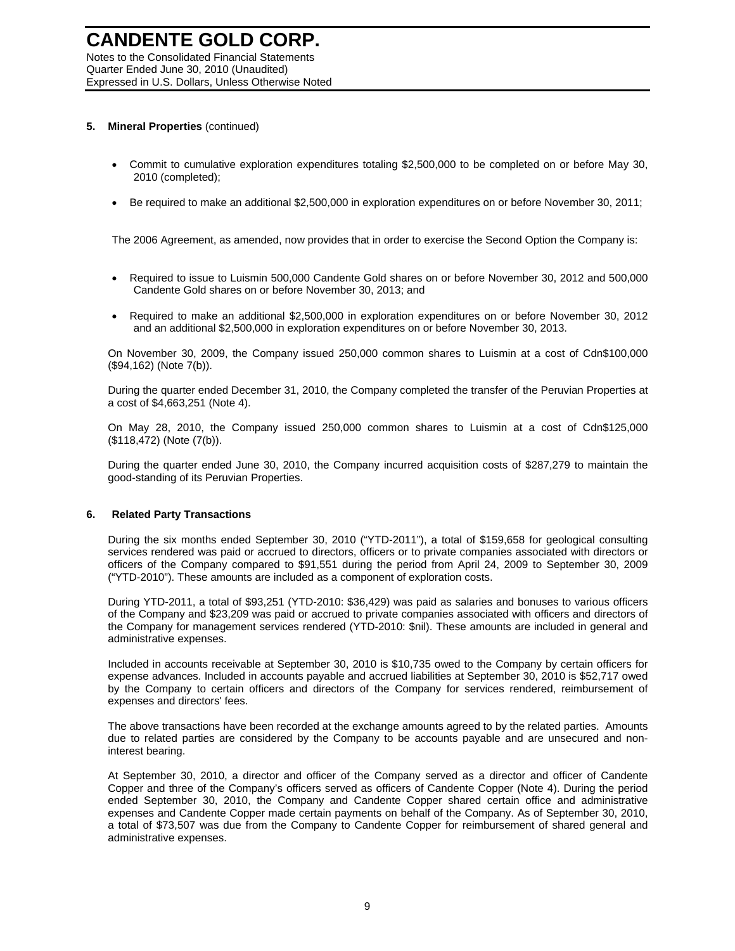#### **5. Mineral Properties** (continued)

- Commit to cumulative exploration expenditures totaling \$2,500,000 to be completed on or before May 30, 2010 (completed);
- Be required to make an additional \$2,500,000 in exploration expenditures on or before November 30, 2011;

The 2006 Agreement, as amended, now provides that in order to exercise the Second Option the Company is:

- Required to issue to Luismin 500,000 Candente Gold shares on or before November 30, 2012 and 500,000 Candente Gold shares on or before November 30, 2013; and
- Required to make an additional \$2,500,000 in exploration expenditures on or before November 30, 2012 and an additional \$2,500,000 in exploration expenditures on or before November 30, 2013.

On November 30, 2009, the Company issued 250,000 common shares to Luismin at a cost of Cdn\$100,000 (\$94,162) (Note 7(b)).

During the quarter ended December 31, 2010, the Company completed the transfer of the Peruvian Properties at a cost of \$4,663,251 (Note 4).

On May 28, 2010, the Company issued 250,000 common shares to Luismin at a cost of Cdn\$125,000 (\$118,472) (Note (7(b)).

During the quarter ended June 30, 2010, the Company incurred acquisition costs of \$287,279 to maintain the good-standing of its Peruvian Properties.

#### **6. Related Party Transactions**

During the six months ended September 30, 2010 ("YTD-2011"), a total of \$159,658 for geological consulting services rendered was paid or accrued to directors, officers or to private companies associated with directors or officers of the Company compared to \$91,551 during the period from April 24, 2009 to September 30, 2009 ("YTD-2010"). These amounts are included as a component of exploration costs.

During YTD-2011, a total of \$93,251 (YTD-2010: \$36,429) was paid as salaries and bonuses to various officers of the Company and \$23,209 was paid or accrued to private companies associated with officers and directors of the Company for management services rendered (YTD-2010: \$nil). These amounts are included in general and administrative expenses.

Included in accounts receivable at September 30, 2010 is \$10,735 owed to the Company by certain officers for expense advances. Included in accounts payable and accrued liabilities at September 30, 2010 is \$52,717 owed by the Company to certain officers and directors of the Company for services rendered, reimbursement of expenses and directors' fees.

The above transactions have been recorded at the exchange amounts agreed to by the related parties. Amounts due to related parties are considered by the Company to be accounts payable and are unsecured and noninterest bearing.

At September 30, 2010, a director and officer of the Company served as a director and officer of Candente Copper and three of the Company's officers served as officers of Candente Copper (Note 4). During the period ended September 30, 2010, the Company and Candente Copper shared certain office and administrative expenses and Candente Copper made certain payments on behalf of the Company. As of September 30, 2010, a total of \$73,507 was due from the Company to Candente Copper for reimbursement of shared general and administrative expenses.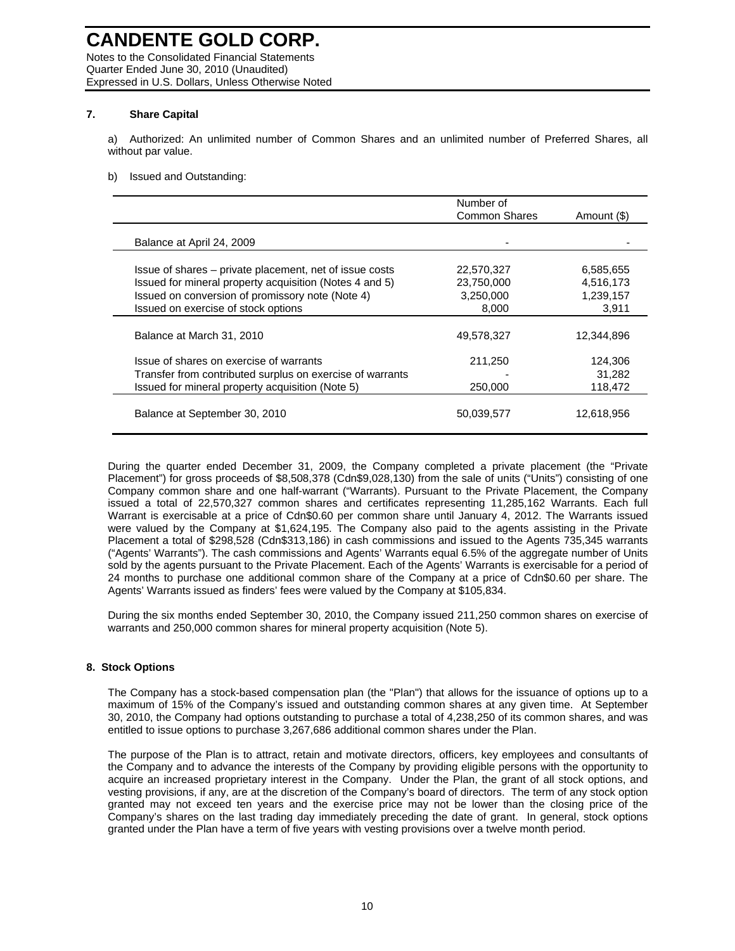Notes to the Consolidated Financial Statements Quarter Ended June 30, 2010 (Unaudited) Expressed in U.S. Dollars, Unless Otherwise Noted

#### **7. Share Capital**

a) Authorized: An unlimited number of Common Shares and an unlimited number of Preferred Shares, all without par value.

#### b) Issued and Outstanding:

|                                                           | Number of<br><b>Common Shares</b> | Amount (\$) |
|-----------------------------------------------------------|-----------------------------------|-------------|
| Balance at April 24, 2009                                 |                                   |             |
| Issue of shares – private placement, net of issue costs   | 22,570,327                        | 6,585,655   |
| Issued for mineral property acquisition (Notes 4 and 5)   | 23,750,000                        | 4,516,173   |
| Issued on conversion of promissory note (Note 4)          | 3,250,000                         | 1,239,157   |
| Issued on exercise of stock options                       | 8,000                             | 3,911       |
| Balance at March 31, 2010                                 | 49,578,327                        | 12,344,896  |
| Issue of shares on exercise of warrants                   | 211,250                           | 124,306     |
| Transfer from contributed surplus on exercise of warrants |                                   | 31,282      |
| Issued for mineral property acquisition (Note 5)          | 250,000                           | 118,472     |
| Balance at September 30, 2010                             | 50,039,577                        | 12,618,956  |

During the quarter ended December 31, 2009, the Company completed a private placement (the "Private Placement") for gross proceeds of \$8,508,378 (Cdn\$9,028,130) from the sale of units ("Units") consisting of one Company common share and one half-warrant ("Warrants). Pursuant to the Private Placement, the Company issued a total of 22,570,327 common shares and certificates representing 11,285,162 Warrants. Each full Warrant is exercisable at a price of Cdn\$0.60 per common share until January 4, 2012. The Warrants issued were valued by the Company at \$1,624,195. The Company also paid to the agents assisting in the Private Placement a total of \$298,528 (Cdn\$313,186) in cash commissions and issued to the Agents 735,345 warrants ("Agents' Warrants"). The cash commissions and Agents' Warrants equal 6.5% of the aggregate number of Units sold by the agents pursuant to the Private Placement. Each of the Agents' Warrants is exercisable for a period of 24 months to purchase one additional common share of the Company at a price of Cdn\$0.60 per share. The Agents' Warrants issued as finders' fees were valued by the Company at \$105,834.

During the six months ended September 30, 2010, the Company issued 211,250 common shares on exercise of warrants and 250,000 common shares for mineral property acquisition (Note 5).

#### **8. Stock Options**

The Company has a stock-based compensation plan (the "Plan") that allows for the issuance of options up to a maximum of 15% of the Company's issued and outstanding common shares at any given time. At September 30, 2010, the Company had options outstanding to purchase a total of 4,238,250 of its common shares, and was entitled to issue options to purchase 3,267,686 additional common shares under the Plan.

The purpose of the Plan is to attract, retain and motivate directors, officers, key employees and consultants of the Company and to advance the interests of the Company by providing eligible persons with the opportunity to acquire an increased proprietary interest in the Company. Under the Plan, the grant of all stock options, and vesting provisions, if any, are at the discretion of the Company's board of directors. The term of any stock option granted may not exceed ten years and the exercise price may not be lower than the closing price of the Company's shares on the last trading day immediately preceding the date of grant. In general, stock options granted under the Plan have a term of five years with vesting provisions over a twelve month period.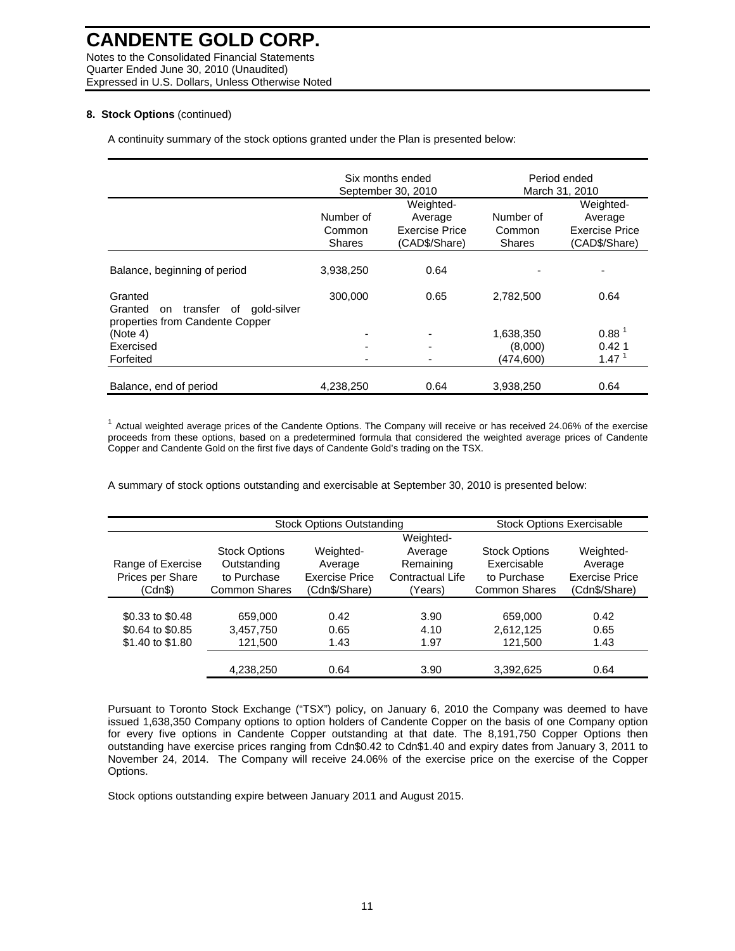Notes to the Consolidated Financial Statements Quarter Ended June 30, 2010 (Unaudited) Expressed in U.S. Dollars, Unless Otherwise Noted

#### **8. Stock Options** (continued)

A continuity summary of the stock options granted under the Plan is presented below:

|                                                                                              |                                      | Six months ended<br>September 30, 2010                         |                                      | Period ended<br>March 31, 2010                                 |
|----------------------------------------------------------------------------------------------|--------------------------------------|----------------------------------------------------------------|--------------------------------------|----------------------------------------------------------------|
|                                                                                              | Number of<br>Common<br><b>Shares</b> | Weighted-<br>Average<br><b>Exercise Price</b><br>(CAD\$/Share) | Number of<br>Common<br><b>Shares</b> | Weighted-<br>Average<br><b>Exercise Price</b><br>(CAD\$/Share) |
| Balance, beginning of period                                                                 | 3,938,250                            | 0.64                                                           |                                      |                                                                |
| Granted<br>transfer<br>gold-silver<br>Granted<br>of<br>on<br>properties from Candente Copper | 300,000                              | 0.65                                                           | 2,782,500                            | 0.64                                                           |
| (Note 4)                                                                                     |                                      | $\overline{\phantom{a}}$                                       | 1,638,350                            | 0.88 <sup>1</sup>                                              |
| Exercised                                                                                    |                                      | ٠                                                              | (8,000)                              | 0.421                                                          |
| Forfeited                                                                                    |                                      |                                                                | (474, 600)                           | 1.47 <sup>1</sup>                                              |
| Balance, end of period                                                                       | 4,238,250                            | 0.64                                                           | 3,938,250                            | 0.64                                                           |

 $1$  Actual weighted average prices of the Candente Options. The Company will receive or has received 24.06% of the exercise proceeds from these options, based on a predetermined formula that considered the weighted average prices of Candente Copper and Candente Gold on the first five days of Candente Gold's trading on the TSX.

A summary of stock options outstanding and exercisable at September 30, 2010 is presented below:

|                   | <b>Stock Options Outstanding</b> | <b>Stock Options Exercisable</b> |                  |                      |                       |
|-------------------|----------------------------------|----------------------------------|------------------|----------------------|-----------------------|
|                   |                                  |                                  | Weighted-        |                      |                       |
|                   | <b>Stock Options</b>             | Weighted-                        | Average          | <b>Stock Options</b> | Weighted-             |
| Range of Exercise | Outstanding                      | Average                          | Remaining        | Exercisable          | Average               |
| Prices per Share  | to Purchase                      | <b>Exercise Price</b>            | Contractual Life | to Purchase          | <b>Exercise Price</b> |
| (Cdn\$)           | <b>Common Shares</b>             | (Cdn\$/Share)                    | (Years)          | <b>Common Shares</b> | (Cdn\$/Share)         |
|                   |                                  |                                  |                  |                      |                       |
| \$0.33 to \$0.48  | 659,000                          | 0.42                             | 3.90             | 659,000              | 0.42                  |
| \$0.64 to \$0.85  | 3,457,750                        | 0.65                             | 4.10             | 2,612,125            | 0.65                  |
| \$1.40 to \$1.80  | 121,500                          | 1.43                             | 1.97             | 121,500              | 1.43                  |
|                   |                                  |                                  |                  |                      |                       |
|                   | 4,238,250                        | 0.64                             | 3.90             | 3,392,625            | 0.64                  |

Pursuant to Toronto Stock Exchange ("TSX") policy, on January 6, 2010 the Company was deemed to have issued 1,638,350 Company options to option holders of Candente Copper on the basis of one Company option for every five options in Candente Copper outstanding at that date. The 8,191,750 Copper Options then outstanding have exercise prices ranging from Cdn\$0.42 to Cdn\$1.40 and expiry dates from January 3, 2011 to November 24, 2014. The Company will receive 24.06% of the exercise price on the exercise of the Copper Options.

Stock options outstanding expire between January 2011 and August 2015.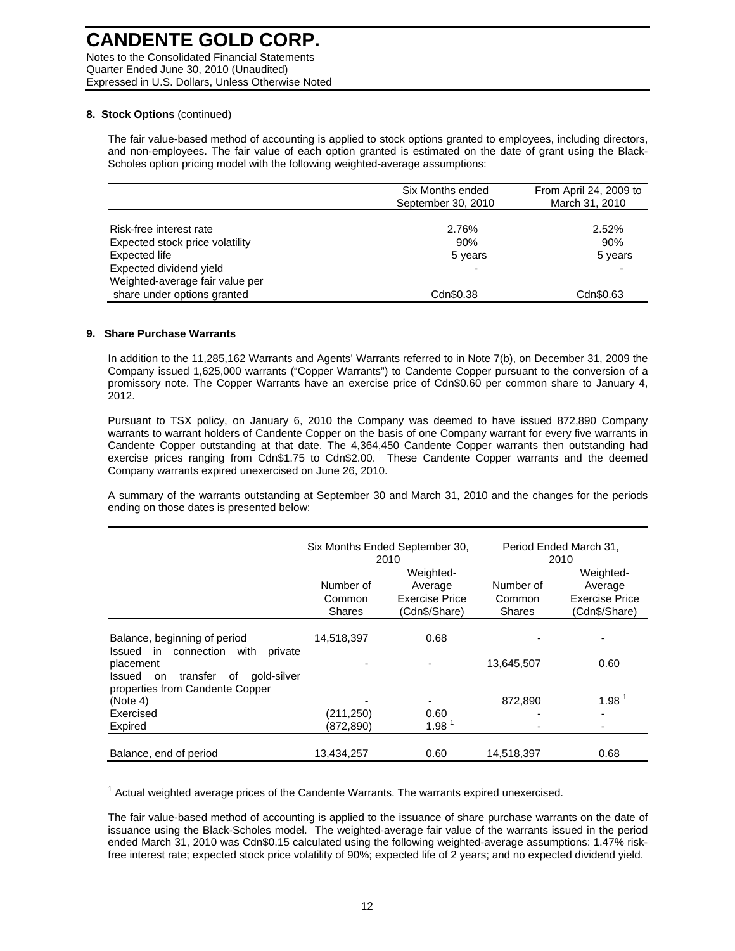Notes to the Consolidated Financial Statements Quarter Ended June 30, 2010 (Unaudited) Expressed in U.S. Dollars, Unless Otherwise Noted

#### **8. Stock Options** (continued)

The fair value-based method of accounting is applied to stock options granted to employees, including directors, and non-employees. The fair value of each option granted is estimated on the date of grant using the Black-Scholes option pricing model with the following weighted-average assumptions:

|                                 | Six Months ended<br>September 30, 2010 | From April 24, 2009 to<br>March 31, 2010 |
|---------------------------------|----------------------------------------|------------------------------------------|
|                                 |                                        |                                          |
| Risk-free interest rate         | 2.76%                                  | 2.52%                                    |
| Expected stock price volatility | 90%                                    | 90%                                      |
| Expected life                   | 5 years                                | 5 years                                  |
| Expected dividend yield         |                                        |                                          |
| Weighted-average fair value per |                                        |                                          |
| share under options granted     | Cdn\$0.38                              | Cdn\$0.63                                |

#### **9. Share Purchase Warrants**

In addition to the 11,285,162 Warrants and Agents' Warrants referred to in Note 7(b), on December 31, 2009 the Company issued 1,625,000 warrants ("Copper Warrants") to Candente Copper pursuant to the conversion of a promissory note. The Copper Warrants have an exercise price of Cdn\$0.60 per common share to January 4, 2012.

Pursuant to TSX policy, on January 6, 2010 the Company was deemed to have issued 872,890 Company warrants to warrant holders of Candente Copper on the basis of one Company warrant for every five warrants in Candente Copper outstanding at that date. The 4,364,450 Candente Copper warrants then outstanding had exercise prices ranging from Cdn\$1.75 to Cdn\$2.00. These Candente Copper warrants and the deemed Company warrants expired unexercised on June 26, 2010.

A summary of the warrants outstanding at September 30 and March 31, 2010 and the changes for the periods ending on those dates is presented below:

|                                                                                               |                                      | Six Months Ended September 30,<br>2010                  |                                      | Period Ended March 31,<br>2010                          |
|-----------------------------------------------------------------------------------------------|--------------------------------------|---------------------------------------------------------|--------------------------------------|---------------------------------------------------------|
|                                                                                               | Number of<br>Common<br><b>Shares</b> | Weighted-<br>Average<br>Exercise Price<br>(Cdn\$/Share) | Number of<br>Common<br><b>Shares</b> | Weighted-<br>Average<br>Exercise Price<br>(Cdn\$/Share) |
| Balance, beginning of period<br>in in<br>with<br>Issued<br>connection<br>private              | 14,518,397                           | 0.68                                                    |                                      |                                                         |
| placement<br>gold-silver<br>Issued<br>transfer<br>οf<br>on<br>properties from Candente Copper |                                      |                                                         | 13,645,507                           | 0.60                                                    |
| (Note 4)                                                                                      |                                      | ٠                                                       | 872.890                              | 1.98 <sup>1</sup>                                       |
| Exercised                                                                                     | (211, 250)                           | 0.60                                                    |                                      |                                                         |
| Expired                                                                                       | (872, 890)                           | 1.98 <sup>1</sup>                                       |                                      |                                                         |
| Balance, end of period                                                                        | 13.434.257                           | 0.60                                                    | 14.518.397                           | 0.68                                                    |

 $1$  Actual weighted average prices of the Candente Warrants. The warrants expired unexercised.

The fair value-based method of accounting is applied to the issuance of share purchase warrants on the date of issuance using the Black-Scholes model. The weighted-average fair value of the warrants issued in the period ended March 31, 2010 was Cdn\$0.15 calculated using the following weighted-average assumptions: 1.47% riskfree interest rate; expected stock price volatility of 90%; expected life of 2 years; and no expected dividend yield.